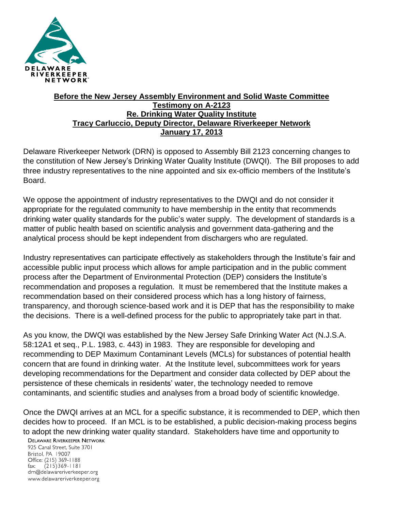

## **Before the New Jersey Assembly Environment and Solid Waste Committee Testimony on A-2123 Re. Drinking Water Quality Institute Tracy Carluccio, Deputy Director, Delaware Riverkeeper Network January 17, 2013**

Delaware Riverkeeper Network (DRN) is opposed to Assembly Bill 2123 concerning changes to the constitution of New Jersey's Drinking Water Quality Institute (DWQI). The Bill proposes to add three industry representatives to the nine appointed and six ex-officio members of the Institute's Board.

We oppose the appointment of industry representatives to the DWQI and do not consider it appropriate for the regulated community to have membership in the entity that recommends drinking water quality standards for the public's water supply. The development of standards is a matter of public health based on scientific analysis and government data-gathering and the analytical process should be kept independent from dischargers who are regulated.

Industry representatives can participate effectively as stakeholders through the Institute's fair and accessible public input process which allows for ample participation and in the public comment process after the Department of Environmental Protection (DEP) considers the Institute's recommendation and proposes a regulation. It must be remembered that the Institute makes a recommendation based on their considered process which has a long history of fairness, transparency, and thorough science-based work and it is DEP that has the responsibility to make the decisions. There is a well-defined process for the public to appropriately take part in that.

As you know, the DWQI was established by the New Jersey Safe Drinking Water Act (N.J.S.A. 58:12A1 et seq., P.L. 1983, c. 443) in 1983. They are responsible for developing and recommending to DEP Maximum Contaminant Levels (MCLs) for substances of potential health concern that are found in drinking water. At the Institute level, subcommittees work for years developing recommendations for the Department and consider data collected by DEP about the persistence of these chemicals in residents' water, the technology needed to remove contaminants, and scientific studies and analyses from a broad body of scientific knowledge.

Once the DWQI arrives at an MCL for a specific substance, it is recommended to DEP, which then decides how to proceed. If an MCL is to be established, a public decision-making process begins to adopt the new drinking water quality standard. Stakeholders have time and opportunity to

**DELAWARE RIVERKEEPER NETWORK** 

925 Canal Street, Suite 3701 Bristol, PA 19007 Office: (215) 369-1188 fax:  $(215)369 - 1181$ drn@delawareriverkeeper.org www.delawareriverkeeper.org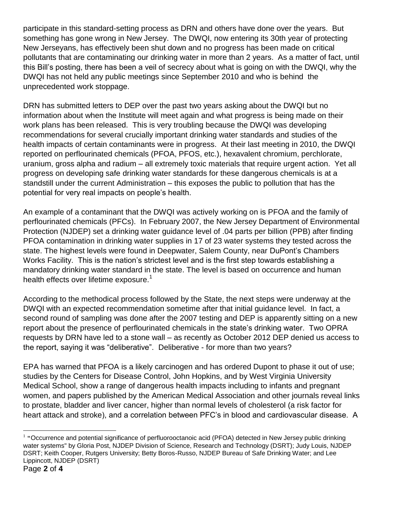participate in this standard-setting process as DRN and others have done over the years. But something has gone wrong in New Jersey. The DWQI, now entering its 30th year of protecting New Jerseyans, has effectively been shut down and no progress has been made on critical pollutants that are contaminating our drinking water in more than 2 years. As a matter of fact, until this Bill's posting, there has been a veil of secrecy about what is going on with the DWQI, why the DWQI has not held any public meetings since September 2010 and who is behind the unprecedented work stoppage.

DRN has submitted letters to DEP over the past two years asking about the DWQI but no information about when the Institute will meet again and what progress is being made on their work plans has been released. This is very troubling because the DWQI was developing recommendations for several crucially important drinking water standards and studies of the health impacts of certain contaminants were in progress. At their last meeting in 2010, the DWQI reported on perflourinated chemicals (PFOA, PFOS, etc.), hexavalent chromium, perchlorate, uranium, gross alpha and radium – all extremely toxic materials that require urgent action. Yet all progress on developing safe drinking water standards for these dangerous chemicals is at a standstill under the current Administration – this exposes the public to pollution that has the potential for very real impacts on people's health.

An example of a contaminant that the DWQI was actively working on is PFOA and the family of perflourinated chemicals (PFCs). In February 2007, the New Jersey Department of Environmental Protection (NJDEP) set a drinking water guidance level of .04 parts per billion (PPB) after finding PFOA contamination in drinking water supplies in 17 of 23 water systems they tested across the state. The highest levels were found in Deepwater, Salem County, near DuPont's Chambers Works Facility. This is the nation's strictest level and is the first step towards establishing a mandatory drinking water standard in the state. The level is based on occurrence and human health effects over lifetime exposure.<sup>1</sup>

According to the methodical process followed by the State, the next steps were underway at the DWQI with an expected recommendation sometime after that initial guidance level. In fact, a second round of sampling was done after the 2007 testing and DEP is apparently sitting on a new report about the presence of perflourinated chemicals in the state's drinking water. Two OPRA requests by DRN have led to a stone wall – as recently as October 2012 DEP denied us access to the report, saying it was "deliberative". Deliberative - for more than two years?

EPA has warned that PFOA is a likely carcinogen and has ordered Dupont to phase it out of use; studies by the Centers for Disease Control, John Hopkins, and by West Virginia University Medical School, show a range of dangerous health impacts including to infants and pregnant women, and papers published by the American Medical Association and other journals reveal links to prostate, bladder and liver cancer, higher than normal levels of cholesterol (a risk factor for heart attack and stroke), and a correlation between PFC's in blood and cardiovascular disease. A

 $\overline{a}$ 

 $1$  "Occurrence and potential significance of perfluorooctanoic acid (PFOA) detected in New Jersey public drinking water systems" by Gloria Post, NJDEP Division of Science, Research and Technology (DSRT); Judy Louis, NJDEP DSRT; Keith Cooper, Rutgers University; Betty Boros-Russo, NJDEP Bureau of Safe Drinking Water; and Lee Lippincott, NJDEP (DSRT)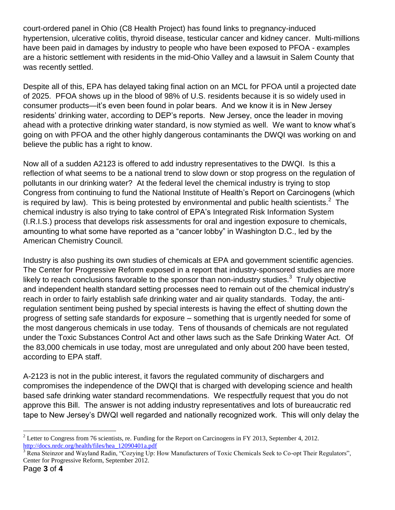court-ordered panel in Ohio (C8 Health Project) has found links to pregnancy-induced hypertension, ulcerative colitis, thyroid disease, testicular cancer and kidney cancer. Multi-millions have been paid in damages by industry to people who have been exposed to PFOA - examples are a historic settlement with residents in the mid-Ohio Valley and a lawsuit in Salem County that was recently settled.

Despite all of this, EPA has delayed taking final action on an MCL for PFOA until a projected date of 2025. PFOA shows up in the blood of 98% of U.S. residents because it is so widely used in consumer products—it's even been found in polar bears. And we know it is in New Jersey residents' drinking water, according to DEP's reports. New Jersey, once the leader in moving ahead with a protective drinking water standard, is now stymied as well. We want to know what's going on with PFOA and the other highly dangerous contaminants the DWQI was working on and believe the public has a right to know.

Now all of a sudden A2123 is offered to add industry representatives to the DWQI. Is this a reflection of what seems to be a national trend to slow down or stop progress on the regulation of pollutants in our drinking water? At the federal level the chemical industry is trying to stop Congress from continuing to fund the National Institute of Health's Report on Carcinogens (which is required by law). This is being protested by environmental and public health scientists.<sup>2</sup> The chemical industry is also trying to take control of EPA's Integrated Risk Information System (I.R.I.S.) process that develops risk assessments for oral and ingestion exposure to chemicals, amounting to what some have reported as a "cancer lobby" in Washington D.C., led by the American Chemistry Council.

Industry is also pushing its own studies of chemicals at EPA and government scientific agencies. The Center for Progressive Reform exposed in a report that industry-sponsored studies are more likely to reach conclusions favorable to the sponsor than non-industry studies.<sup>3</sup> Truly objective and independent health standard setting processes need to remain out of the chemical industry's reach in order to fairly establish safe drinking water and air quality standards. Today, the antiregulation sentiment being pushed by special interests is having the effect of shutting down the progress of setting safe standards for exposure – something that is urgently needed for some of the most dangerous chemicals in use today. Tens of thousands of chemicals are not regulated under the Toxic Substances Control Act and other laws such as the Safe Drinking Water Act. Of the 83,000 chemicals in use today, most are unregulated and only about 200 have been tested, according to EPA staff.

A-2123 is not in the public interest, it favors the regulated community of dischargers and compromises the independence of the DWQI that is charged with developing science and health based safe drinking water standard recommendations. We respectfully request that you do not approve this Bill. The answer is not adding industry representatives and lots of bureaucratic red tape to New Jersey's DWQI well regarded and nationally recognized work. This will only delay the

 $\overline{a}$ 

<sup>&</sup>lt;sup>2</sup> Letter to Congress from 76 scientists, re. Funding for the Report on Carcinogens in FY 2013, September 4, 2012. [http://docs.nrdc.org/health/files/hea\\_12090401a.pdf](http://docs.nrdc.org/health/files/hea_12090401a.pdf)

<sup>3</sup> Rena Steinzor and Wayland Radin, "Cozying Up: How Manufacturers of Toxic Chemicals Seek to Co-opt Their Regulators", Center for Progressive Reform, September 2012.